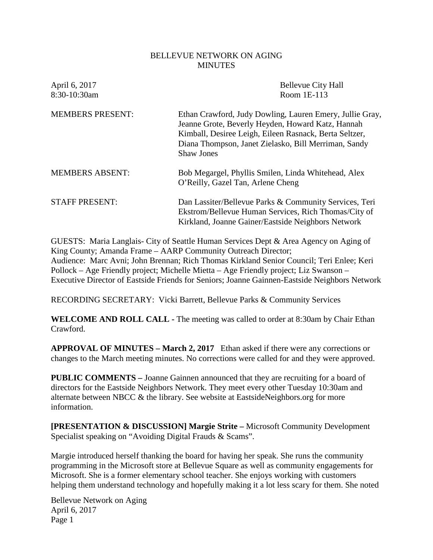### BELLEVUE NETWORK ON AGING **MINUTES**

| April 6, 2017<br>8:30-10:30am | <b>Bellevue City Hall</b><br>Room 1E-113                                                                                                                                                                                                             |
|-------------------------------|------------------------------------------------------------------------------------------------------------------------------------------------------------------------------------------------------------------------------------------------------|
| <b>MEMBERS PRESENT:</b>       | Ethan Crawford, Judy Dowling, Lauren Emery, Jullie Gray,<br>Jeanne Grote, Beverly Heyden, Howard Katz, Hannah<br>Kimball, Desiree Leigh, Eileen Rasnack, Berta Seltzer,<br>Diana Thompson, Janet Zielasko, Bill Merriman, Sandy<br><b>Shaw Jones</b> |
| <b>MEMBERS ABSENT:</b>        | Bob Megargel, Phyllis Smilen, Linda Whitehead, Alex<br>O'Reilly, Gazel Tan, Arlene Cheng                                                                                                                                                             |
| <b>STAFF PRESENT:</b>         | Dan Lassiter/Bellevue Parks & Community Services, Teri<br>Ekstrom/Bellevue Human Services, Rich Thomas/City of<br>Kirkland, Joanne Gainer/Eastside Neighbors Network                                                                                 |

GUESTS: Maria Langlais- City of Seattle Human Services Dept & Area Agency on Aging of King County; Amanda Frame – AARP Community Outreach Director; Audience: Marc Avni; John Brennan; Rich Thomas Kirkland Senior Council; Teri Enlee; Keri Pollock – Age Friendly project; Michelle Mietta – Age Friendly project; Liz Swanson – Executive Director of Eastside Friends for Seniors; Joanne Gainnen-Eastside Neighbors Network

RECORDING SECRETARY: Vicki Barrett, Bellevue Parks & Community Services

**WELCOME AND ROLL CALL -** The meeting was called to order at 8:30am by Chair Ethan Crawford.

**APPROVAL OF MINUTES – March 2, 2017** Ethan asked if there were any corrections or changes to the March meeting minutes. No corrections were called for and they were approved.

**PUBLIC COMMENTS –** Joanne Gainnen announced that they are recruiting for a board of directors for the Eastside Neighbors Network. They meet every other Tuesday 10:30am and alternate between NBCC & the library. See website at EastsideNeighbors.org for more information.

**[PRESENTATION & DISCUSSION] Margie Strite –** Microsoft Community Development Specialist speaking on "Avoiding Digital Frauds & Scams".

Margie introduced herself thanking the board for having her speak. She runs the community programming in the Microsoft store at Bellevue Square as well as community engagements for Microsoft. She is a former elementary school teacher. She enjoys working with customers helping them understand technology and hopefully making it a lot less scary for them. She noted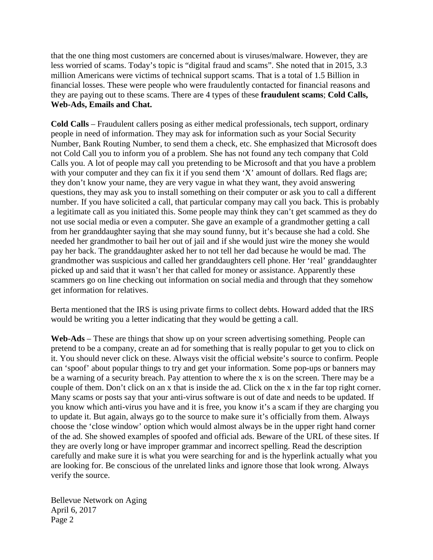that the one thing most customers are concerned about is viruses/malware. However, they are less worried of scams. Today's topic is "digital fraud and scams". She noted that in 2015, 3.3 million Americans were victims of technical support scams. That is a total of 1.5 Billion in financial losses. These were people who were fraudulently contacted for financial reasons and they are paying out to these scams. There are 4 types of these **fraudulent scams**; **Cold Calls, Web-Ads, Emails and Chat.**

**Cold Calls** – Fraudulent callers posing as either medical professionals, tech support, ordinary people in need of information. They may ask for information such as your Social Security Number, Bank Routing Number, to send them a check, etc. She emphasized that Microsoft does not Cold Call you to inform you of a problem. She has not found any tech company that Cold Calls you. A lot of people may call you pretending to be Microsoft and that you have a problem with your computer and they can fix it if you send them 'X' amount of dollars. Red flags are; they don't know your name, they are very vague in what they want, they avoid answering questions, they may ask you to install something on their computer or ask you to call a different number. If you have solicited a call, that particular company may call you back. This is probably a legitimate call as you initiated this. Some people may think they can't get scammed as they do not use social media or even a computer. She gave an example of a grandmother getting a call from her granddaughter saying that she may sound funny, but it's because she had a cold. She needed her grandmother to bail her out of jail and if she would just wire the money she would pay her back. The granddaughter asked her to not tell her dad because he would be mad. The grandmother was suspicious and called her granddaughters cell phone. Her 'real' granddaughter picked up and said that it wasn't her that called for money or assistance. Apparently these scammers go on line checking out information on social media and through that they somehow get information for relatives.

Berta mentioned that the IRS is using private firms to collect debts. Howard added that the IRS would be writing you a letter indicating that they would be getting a call.

**Web-Ads** – These are things that show up on your screen advertising something. People can pretend to be a company, create an ad for something that is really popular to get you to click on it. You should never click on these. Always visit the official website's source to confirm. People can 'spoof' about popular things to try and get your information. Some pop-ups or banners may be a warning of a security breach. Pay attention to where the x is on the screen. There may be a couple of them. Don't click on an x that is inside the ad. Click on the x in the far top right corner. Many scams or posts say that your anti-virus software is out of date and needs to be updated. If you know which anti-virus you have and it is free, you know it's a scam if they are charging you to update it. But again, always go to the source to make sure it's officially from them. Always choose the 'close window' option which would almost always be in the upper right hand corner of the ad. She showed examples of spoofed and official ads. Beware of the URL of these sites. If they are overly long or have improper grammar and incorrect spelling. Read the description carefully and make sure it is what you were searching for and is the hyperlink actually what you are looking for. Be conscious of the unrelated links and ignore those that look wrong. Always verify the source.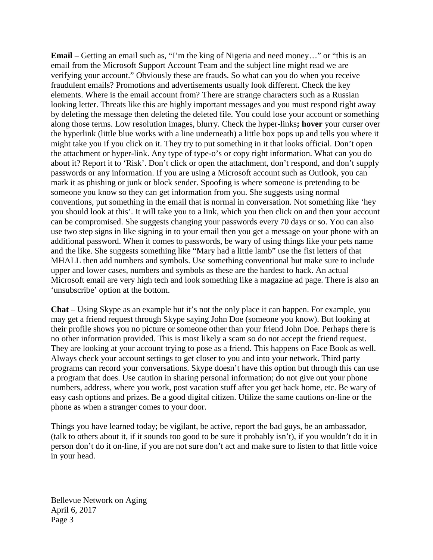**Email** – Getting an email such as, "I'm the king of Nigeria and need money…" or "this is an email from the Microsoft Support Account Team and the subject line might read we are verifying your account." Obviously these are frauds. So what can you do when you receive fraudulent emails? Promotions and advertisements usually look different. Check the key elements. Where is the email account from? There are strange characters such as a Russian looking letter. Threats like this are highly important messages and you must respond right away by deleting the message then deleting the deleted file. You could lose your account or something along those terms. Low resolution images, blurry. Check the hyper-links**; hover** your curser over the hyperlink (little blue works with a line underneath) a little box pops up and tells you where it might take you if you click on it. They try to put something in it that looks official. Don't open the attachment or hyper-link. Any type of type-o's or copy right information. What can you do about it? Report it to 'Risk'. Don't click or open the attachment, don't respond, and don't supply passwords or any information. If you are using a Microsoft account such as Outlook, you can mark it as phishing or junk or block sender. Spoofing is where someone is pretending to be someone you know so they can get information from you. She suggests using normal conventions, put something in the email that is normal in conversation. Not something like 'hey you should look at this'. It will take you to a link, which you then click on and then your account can be compromised. She suggests changing your passwords every 70 days or so. You can also use two step signs in like signing in to your email then you get a message on your phone with an additional password. When it comes to passwords, be wary of using things like your pets name and the like. She suggests something like "Mary had a little lamb" use the fist letters of that MHALL then add numbers and symbols. Use something conventional but make sure to include upper and lower cases, numbers and symbols as these are the hardest to hack. An actual Microsoft email are very high tech and look something like a magazine ad page. There is also an 'unsubscribe' option at the bottom.

**Chat** – Using Skype as an example but it's not the only place it can happen. For example, you may get a friend request through Skype saying John Doe (someone you know). But looking at their profile shows you no picture or someone other than your friend John Doe. Perhaps there is no other information provided. This is most likely a scam so do not accept the friend request. They are looking at your account trying to pose as a friend. This happens on Face Book as well. Always check your account settings to get closer to you and into your network. Third party programs can record your conversations. Skype doesn't have this option but through this can use a program that does. Use caution in sharing personal information; do not give out your phone numbers, address, where you work, post vacation stuff after you get back home, etc. Be wary of easy cash options and prizes. Be a good digital citizen. Utilize the same cautions on-line or the phone as when a stranger comes to your door.

Things you have learned today; be vigilant, be active, report the bad guys, be an ambassador, (talk to others about it, if it sounds too good to be sure it probably isn't), if you wouldn't do it in person don't do it on-line, if you are not sure don't act and make sure to listen to that little voice in your head.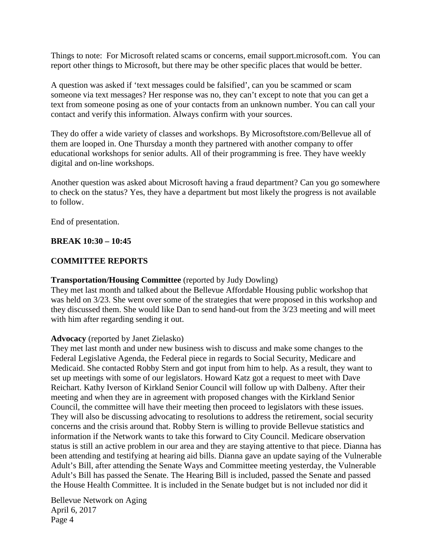Things to note: For Microsoft related scams or concerns, email support.microsoft.com. You can report other things to Microsoft, but there may be other specific places that would be better.

A question was asked if 'text messages could be falsified', can you be scammed or scam someone via text messages? Her response was no, they can't except to note that you can get a text from someone posing as one of your contacts from an unknown number. You can call your contact and verify this information. Always confirm with your sources.

They do offer a wide variety of classes and workshops. By Microsoftstore.com/Bellevue all of them are looped in. One Thursday a month they partnered with another company to offer educational workshops for senior adults. All of their programming is free. They have weekly digital and on-line workshops.

Another question was asked about Microsoft having a fraud department? Can you go somewhere to check on the status? Yes, they have a department but most likely the progress is not available to follow.

End of presentation.

## **BREAK 10:30 – 10:45**

## **COMMITTEE REPORTS**

### **Transportation/Housing Committee** (reported by Judy Dowling)

They met last month and talked about the Bellevue Affordable Housing public workshop that was held on 3/23. She went over some of the strategies that were proposed in this workshop and they discussed them. She would like Dan to send hand-out from the 3/23 meeting and will meet with him after regarding sending it out.

### **Advocacy** (reported by Janet Zielasko)

They met last month and under new business wish to discuss and make some changes to the Federal Legislative Agenda, the Federal piece in regards to Social Security, Medicare and Medicaid. She contacted Robby Stern and got input from him to help. As a result, they want to set up meetings with some of our legislators. Howard Katz got a request to meet with Dave Reichart. Kathy Iverson of Kirkland Senior Council will follow up with Dalbeny. After their meeting and when they are in agreement with proposed changes with the Kirkland Senior Council, the committee will have their meeting then proceed to legislators with these issues. They will also be discussing advocating to resolutions to address the retirement, social security concerns and the crisis around that. Robby Stern is willing to provide Bellevue statistics and information if the Network wants to take this forward to City Council. Medicare observation status is still an active problem in our area and they are staying attentive to that piece. Dianna has been attending and testifying at hearing aid bills. Dianna gave an update saying of the Vulnerable Adult's Bill, after attending the Senate Ways and Committee meeting yesterday, the Vulnerable Adult's Bill has passed the Senate. The Hearing Bill is included, passed the Senate and passed the House Health Committee. It is included in the Senate budget but is not included nor did it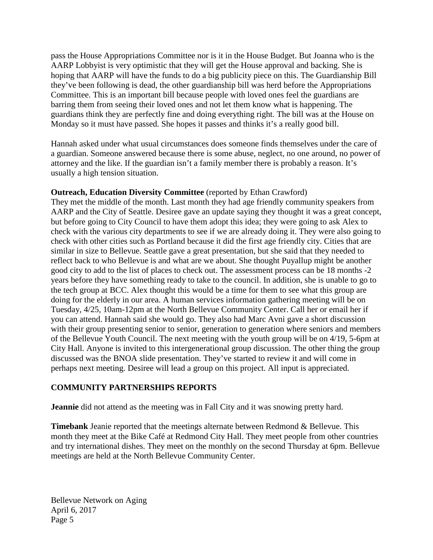pass the House Appropriations Committee nor is it in the House Budget. But Joanna who is the AARP Lobbyist is very optimistic that they will get the House approval and backing. She is hoping that AARP will have the funds to do a big publicity piece on this. The Guardianship Bill they've been following is dead, the other guardianship bill was herd before the Appropriations Committee. This is an important bill because people with loved ones feel the guardians are barring them from seeing their loved ones and not let them know what is happening. The guardians think they are perfectly fine and doing everything right. The bill was at the House on Monday so it must have passed. She hopes it passes and thinks it's a really good bill.

Hannah asked under what usual circumstances does someone finds themselves under the care of a guardian. Someone answered because there is some abuse, neglect, no one around, no power of attorney and the like. If the guardian isn't a family member there is probably a reason. It's usually a high tension situation.

## **Outreach, Education Diversity Committee** (reported by Ethan Crawford)

They met the middle of the month. Last month they had age friendly community speakers from AARP and the City of Seattle. Desiree gave an update saying they thought it was a great concept, but before going to City Council to have them adopt this idea; they were going to ask Alex to check with the various city departments to see if we are already doing it. They were also going to check with other cities such as Portland because it did the first age friendly city. Cities that are similar in size to Bellevue. Seattle gave a great presentation, but she said that they needed to reflect back to who Bellevue is and what are we about. She thought Puyallup might be another good city to add to the list of places to check out. The assessment process can be 18 months -2 years before they have something ready to take to the council. In addition, she is unable to go to the tech group at BCC. Alex thought this would be a time for them to see what this group are doing for the elderly in our area. A human services information gathering meeting will be on Tuesday, 4/25, 10am-12pm at the North Bellevue Community Center. Call her or email her if you can attend. Hannah said she would go. They also had Marc Avni gave a short discussion with their group presenting senior to senior, generation to generation where seniors and members of the Bellevue Youth Council. The next meeting with the youth group will be on 4/19, 5-6pm at City Hall. Anyone is invited to this intergenerational group discussion. The other thing the group discussed was the BNOA slide presentation. They've started to review it and will come in perhaps next meeting. Desiree will lead a group on this project. All input is appreciated.

# **COMMUNITY PARTNERSHIPS REPORTS**

**Jeannie** did not attend as the meeting was in Fall City and it was snowing pretty hard.

**Timebank** Jeanie reported that the meetings alternate between Redmond & Bellevue. This month they meet at the Bike Café at Redmond City Hall. They meet people from other countries and try international dishes. They meet on the monthly on the second Thursday at 6pm. Bellevue meetings are held at the North Bellevue Community Center.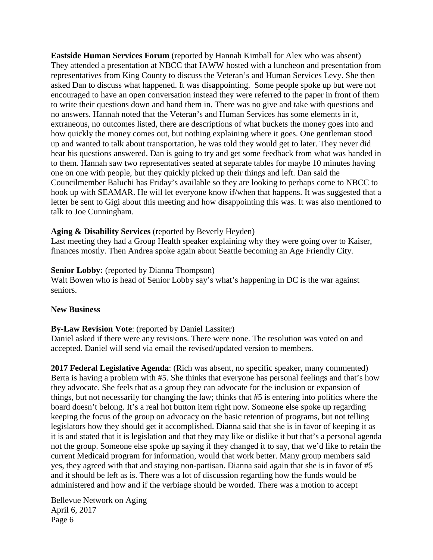**Eastside Human Services Forum** (reported by Hannah Kimball for Alex who was absent) They attended a presentation at NBCC that IAWW hosted with a luncheon and presentation from representatives from King County to discuss the Veteran's and Human Services Levy. She then asked Dan to discuss what happened. It was disappointing. Some people spoke up but were not encouraged to have an open conversation instead they were referred to the paper in front of them to write their questions down and hand them in. There was no give and take with questions and no answers. Hannah noted that the Veteran's and Human Services has some elements in it, extraneous, no outcomes listed, there are descriptions of what buckets the money goes into and how quickly the money comes out, but nothing explaining where it goes. One gentleman stood up and wanted to talk about transportation, he was told they would get to later. They never did hear his questions answered. Dan is going to try and get some feedback from what was handed in to them. Hannah saw two representatives seated at separate tables for maybe 10 minutes having one on one with people, but they quickly picked up their things and left. Dan said the Councilmember Baluchi has Friday's available so they are looking to perhaps come to NBCC to hook up with SEAMAR. He will let everyone know if/when that happens. It was suggested that a letter be sent to Gigi about this meeting and how disappointing this was. It was also mentioned to talk to Joe Cunningham.

## **Aging & Disability Services** (reported by Beverly Heyden)

Last meeting they had a Group Health speaker explaining why they were going over to Kaiser, finances mostly. Then Andrea spoke again about Seattle becoming an Age Friendly City.

## **Senior Lobby:** (reported by Dianna Thompson)

Walt Bowen who is head of Senior Lobby say's what's happening in DC is the war against seniors.

### **New Business**

# **By-Law Revision Vote**: (reported by Daniel Lassiter)

Daniel asked if there were any revisions. There were none. The resolution was voted on and accepted. Daniel will send via email the revised/updated version to members.

**2017 Federal Legislative Agenda**: (Rich was absent, no specific speaker, many commented) Berta is having a problem with #5. She thinks that everyone has personal feelings and that's how they advocate. She feels that as a group they can advocate for the inclusion or expansion of things, but not necessarily for changing the law; thinks that #5 is entering into politics where the board doesn't belong. It's a real hot button item right now. Someone else spoke up regarding keeping the focus of the group on advocacy on the basic retention of programs, but not telling legislators how they should get it accomplished. Dianna said that she is in favor of keeping it as it is and stated that it is legislation and that they may like or dislike it but that's a personal agenda not the group. Someone else spoke up saying if they changed it to say, that we'd like to retain the current Medicaid program for information, would that work better. Many group members said yes, they agreed with that and staying non-partisan. Dianna said again that she is in favor of #5 and it should be left as is. There was a lot of discussion regarding how the funds would be administered and how and if the verbiage should be worded. There was a motion to accept